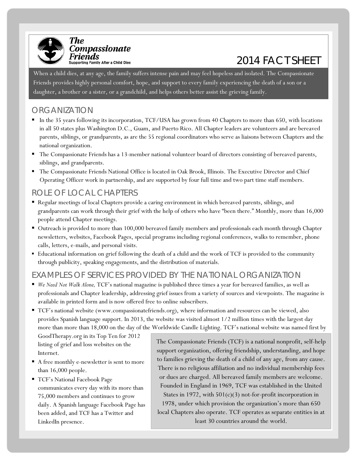

# $r$ Tenentas $_{\tiny{\sf{Supporting\,Family\,After\,a\,Child\,Die}}$

When a child dies, at any age, the family suffers intense pain and may feel hopeless and isolated. The Compassionate Friends provides highly personal comfort, hope, and support to every family experiencing the death of a son or a daughter, a brother or a sister, or a grandchild, and helps others better assist the grieving family.

#### ORGANIZATION

- In the 35 years following its incorporation, TCF/USA has grown from 40 Chapters to more than 650, with locations in all 50 states plus Washington D.C., Guam, and Puerto Rico. All Chapter leaders are volunteers and are bereaved parents, siblings, or grandparents, as are the 55 regional coordinators who serve as liaisons between Chapters and the national organization.
- The Compassionate Friends has a 13-member national volunteer board of directors consisting of bereaved parents, siblings, and grandparents.
- The Compassionate Friends National Office is located in Oak Brook, Illinois. The Executive Director and Chief Operating Officer work in partnership, and are supported by four full time and two part time staff members.

### ROLE OF LOCAL CHAPTERS

- Regular meetings of local Chapters provide a caring environment in which bereaved parents, siblings, and grandparents can work through their grief with the help of others who have "been there." Monthly, more than 16,000 people attend Chapter meetings.
- Outreach is provided to more than 100,000 bereaved family members and professionals each month through Chapter newsletters, websites, Facebook Pages, special programs including regional conferences, walks to remember, phone calls, letters, e-mails, and personal visits.
- Educational information on grief following the death of a child and the work of TCF is provided to the community through publicity, speaking engagements, and the distribution of materials.

## EXAMPLES OF SERVICES PROVIDED BY THE NATIONAL ORGANIZATION

- *We Need Not Walk Alone,* TCF's national magazine is published three times a year for bereaved families, as well as professionals and Chapter leadership, addressing grief issues from a variety of sources and viewpoints. The magazine is available in printed form and is now offered free to online subscribers.
- TCF's national website (www.compassionatefriends.org), where information and resources can be viewed, also provides Spanish language support. In 2013, the website was visited almost 1/2 million times with the largest day more than more than 18,000 on the day of the Worldwide Candle Lighting. TCF's national website was named first by

GoodTherapy.org in its Top Ten for 2012 listing of grief and loss websites on the Internet.

- A free monthly e-newsletter is sent to more than 16,000 people.
- TCF's National Facebook Page communicates every day with its more than 75,000 members and continues to grow daily. A Spanish language Facebook Page has been added, and TCF has a Twitter and LinkedIn presence.

The Compassionate Friends (TCF) is a national nonprofit, self-help support organization, offering friendship, understanding, and hope to families grieving the death of a child of any age, from any cause. There is no religious affiliation and no individual membership fees or dues are charged. All bereaved family members are welcome. Founded in England in 1969, TCF was established in the United States in 1972, with 501(c)(3) not-for-profit incorporation in 1978, under which provision the organization's more than 650 local Chapters also operate. TCF operates as separate entities in at least 30 countries around the world.